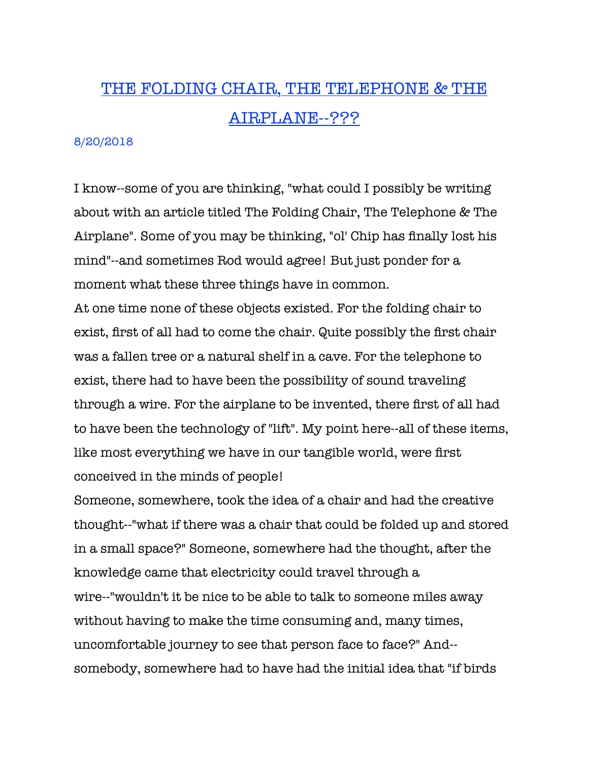## THE FOLDING CHAIR, THE TELEPHONE & THE AIRPLANE--???

## 8/20/2018

I know--some of you are thinking, "what could I possibly be writing about with an article titled The Folding Chair, The Telephone & The Airplane". Some of you may be thinking, "ol' Chip has finally lost his mind"--and sometimes Rod would agree! But just ponder for a moment what these three things have in common.

At one time none of these objects existed. For the folding chair to exist, first of all had to come the chair. Quite possibly the first chair was a fallen tree or a natural shelf in a cave. For the telephone to exist, there had to have been the possibility of sound traveling through a wire. For the airplane to be invented, there first of all had to have been the technology of "lift". My point here--all of these items, like most everything we have in our tangible world, were first conceived in the minds of people!

Someone, somewhere, took the idea of a chair and had the creative thought--"what if there was a chair that could be folded up and stored in a small space?" Someone, somewhere had the thought, after the knowledge came that electricity could travel through a wire--"wouldn't it be nice to be able to talk to someone miles away without having to make the time consuming and, many times, uncomfortable journey to see that person face to face?" And- somebody, somewhere had to have had the initial idea that "if birds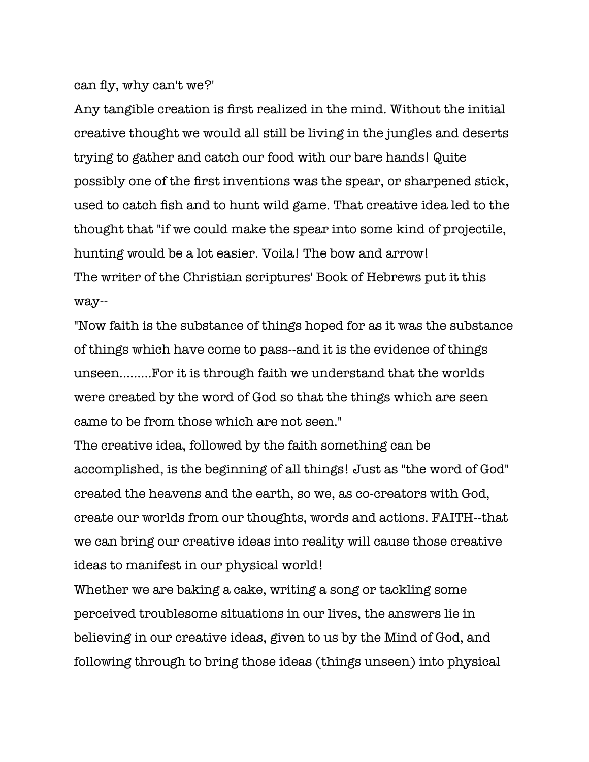can fly, why can't we?'

Any tangible creation is first realized in the mind. Without the initial creative thought we would all still be living in the jungles and deserts trying to gather and catch our food with our bare hands! Quite possibly one of the first inventions was the spear, or sharpened stick, used to catch fish and to hunt wild game. That creative idea led to the thought that "if we could make the spear into some kind of projectile, hunting would be a lot easier. Voila! The bow and arrow! The writer of the Christian scriptures' Book of Hebrews put it this way--

"Now faith is the substance of things hoped for as it was the substance of things which have come to pass--and it is the evidence of things unseen.........For it is through faith we understand that the worlds were created by the word of God so that the things which are seen came to be from those which are not seen."

The creative idea, followed by the faith something can be accomplished, is the beginning of all things! Just as "the word of God" created the heavens and the earth, so we, as co-creators with God, create our worlds from our thoughts, words and actions. FAITH--that we can bring our creative ideas into reality will cause those creative ideas to manifest in our physical world!

Whether we are baking a cake, writing a song or tackling some perceived troublesome situations in our lives, the answers lie in believing in our creative ideas, given to us by the Mind of God, and following through to bring those ideas (things unseen) into physical